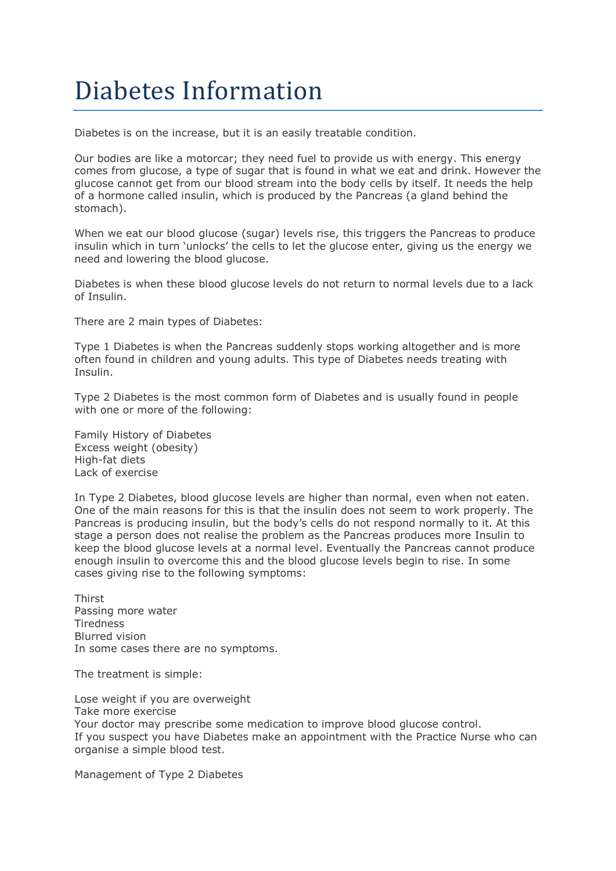# Diabetes Information

Diabetes is on the increase, but it is an easily treatable condition.

Our bodies are like a motorcar; they need fuel to provide us with energy. This energy comes from glucose, a type of sugar that is found in what we eat and drink. However the glucose cannot get from our blood stream into the body cells by itself. It needs the help of a hormone called insulin, which is produced by the Pancreas (a gland behind the stomach).

When we eat our blood glucose (sugar) levels rise, this triggers the Pancreas to produce insulin which in turn 'unlocks' the cells to let the glucose enter, giving us the energy we need and lowering the blood glucose.

Diabetes is when these blood glucose levels do not return to normal levels due to a lack of Insulin.

There are 2 main types of Diabetes:

Type 1 Diabetes is when the Pancreas suddenly stops working altogether and is more often found in children and young adults. This type of Diabetes needs treating with Insulin.

Type 2 Diabetes is the most common form of Diabetes and is usually found in people with one or more of the following:

Family History of Diabetes Excess weight (obesity) High-fat diets Lack of exercise

In Type 2 Diabetes, blood glucose levels are higher than normal, even when not eaten. One of the main reasons for this is that the insulin does not seem to work properly. The Pancreas is producing insulin, but the body's cells do not respond normally to it. At this stage a person does not realise the problem as the Pancreas produces more Insulin to keep the blood glucose levels at a normal level. Eventually the Pancreas cannot produce enough insulin to overcome this and the blood glucose levels begin to rise. In some cases giving rise to the following symptoms:

Thirst Passing more water **Tiredness** Blurred vision In some cases there are no symptoms.

The treatment is simple:

Lose weight if you are overweight Take more exercise Your doctor may prescribe some medication to improve blood glucose control. If you suspect you have Diabetes make an appointment with the Practice Nurse who can organise a simple blood test.

Management of Type 2 Diabetes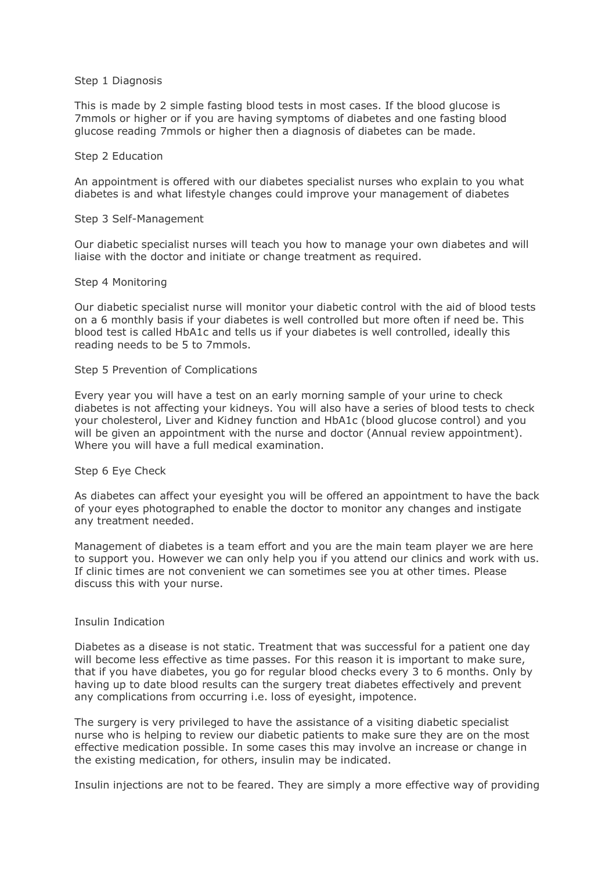### Step 1 Diagnosis

This is made by 2 simple fasting blood tests in most cases. If the blood glucose is 7mmols or higher or if you are having symptoms of diabetes and one fasting blood glucose reading 7mmols or higher then a diagnosis of diabetes can be made.

#### Step 2 Education

An appointment is offered with our diabetes specialist nurses who explain to you what diabetes is and what lifestyle changes could improve your management of diabetes

#### Step 3 Self-Management

Our diabetic specialist nurses will teach you how to manage your own diabetes and will liaise with the doctor and initiate or change treatment as required.

# Step 4 Monitoring

Our diabetic specialist nurse will monitor your diabetic control with the aid of blood tests on a 6 monthly basis if your diabetes is well controlled but more often if need be. This blood test is called HbA1c and tells us if your diabetes is well controlled, ideally this reading needs to be 5 to 7mmols.

# Step 5 Prevention of Complications

Every year you will have a test on an early morning sample of your urine to check diabetes is not affecting your kidneys. You will also have a series of blood tests to check your cholesterol, Liver and Kidney function and HbA1c (blood glucose control) and you will be given an appointment with the nurse and doctor (Annual review appointment). Where you will have a full medical examination.

## Step 6 Eye Check

As diabetes can affect your eyesight you will be offered an appointment to have the back of your eyes photographed to enable the doctor to monitor any changes and instigate any treatment needed.

Management of diabetes is a team effort and you are the main team player we are here to support you. However we can only help you if you attend our clinics and work with us. If clinic times are not convenient we can sometimes see you at other times. Please discuss this with your nurse.

## Insulin Indication

Diabetes as a disease is not static. Treatment that was successful for a patient one day will become less effective as time passes. For this reason it is important to make sure, that if you have diabetes, you go for regular blood checks every 3 to 6 months. Only by having up to date blood results can the surgery treat diabetes effectively and prevent any complications from occurring i.e. loss of eyesight, impotence.

The surgery is very privileged to have the assistance of a visiting diabetic specialist nurse who is helping to review our diabetic patients to make sure they are on the most effective medication possible. In some cases this may involve an increase or change in the existing medication, for others, insulin may be indicated.

Insulin injections are not to be feared. They are simply a more effective way of providing